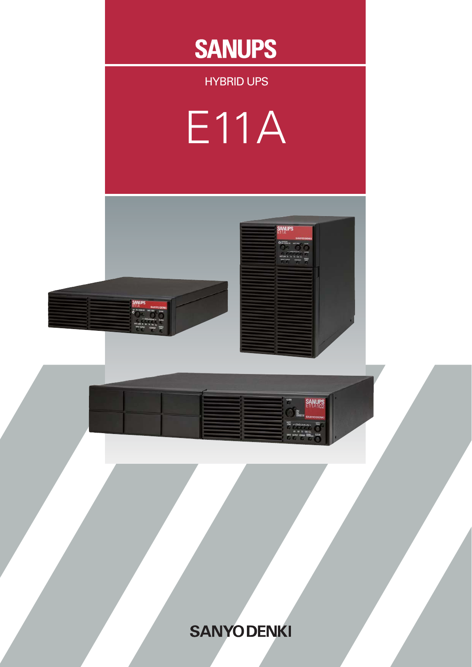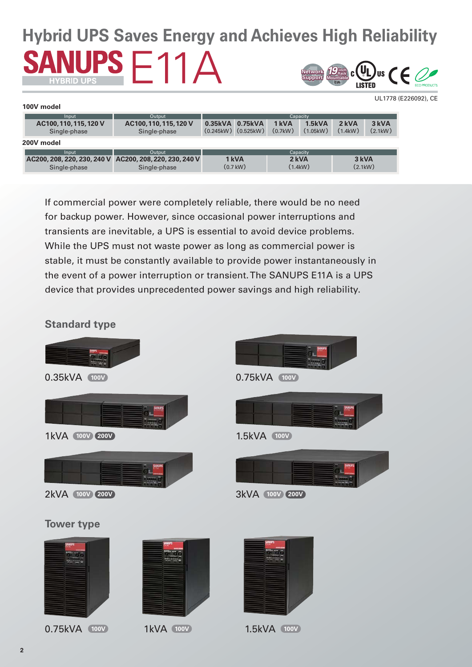# **Hybrid UPS Saves Energy and Achieves High Reliability** UPS  $F11A$ **Support** *19***-inch Rack Mountable EIANetwork**

|                                        |                                                                         |                 |                                 |                  |                    |                  | UL1778 (E226092), CE |
|----------------------------------------|-------------------------------------------------------------------------|-----------------|---------------------------------|------------------|--------------------|------------------|----------------------|
| 100V model                             |                                                                         |                 |                                 |                  |                    |                  |                      |
| Input                                  | Output                                                                  |                 |                                 |                  | Capacity           |                  |                      |
| AC100, 110, 115, 120 V<br>Single-phase | AC100, 110, 115, 120 V<br>Single-phase                                  | 0.35kVA 0.75kVA | $(0.245$ kW $)$ $(0.525$ kW $)$ | 1 kVA<br>(0.7kW) | 1.5kVA<br>(1.05kW) | 2 kVA<br>(1.4kW) | 3 kVA<br>(2.1kW)     |
| 200V model                             |                                                                         |                 |                                 |                  |                    |                  |                      |
| Input                                  | Output                                                                  |                 |                                 |                  | Capacity           |                  |                      |
| Single-phase                           | AC200, 208, 220, 230, 240 V AC200, 208, 220, 230, 240 V<br>Single-phase |                 | 1 kVA<br>$(0.7$ kW $)$          |                  | 2 kVA<br>(1.4kW)   | 3 kVA<br>(2.1kW) |                      |

If commercial power were completely reliable, there would be no need for backup power. However, since occasional power interruptions and transients are inevitable, a UPS is essential to avoid device problems. While the UPS must not waste power as long as commercial power is stable, it must be constantly available to provide power instantaneously in the event of a power interruption or transient. The SANUPS E11A is a UPS device that provides unprecedented power savings and high reliability.

# **Standard type**

0.75kVA 100V 1kVA 100V



**100V 100V 100V**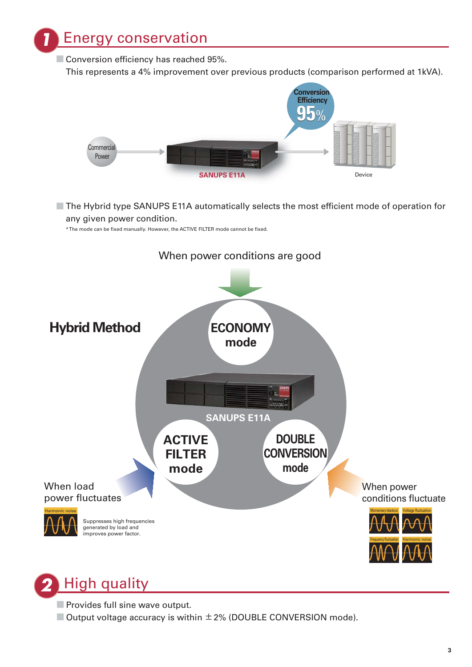*<u>Energy conservation</u>* 

 $\blacksquare$  Conversion efficiency has reached 95%.





■ The Hybrid type SANUPS E11A automatically selects the most efficient mode of operation for any given power condition.

\* The mode can be fixed manually. However, the ACTIVE FILTER mode cannot be fixed.



# *2* High quality

- Provides full sine wave output.
- $\Box$  Output voltage accuracy is within  $\pm 2\%$  (DOUBLE CONVERSION mode).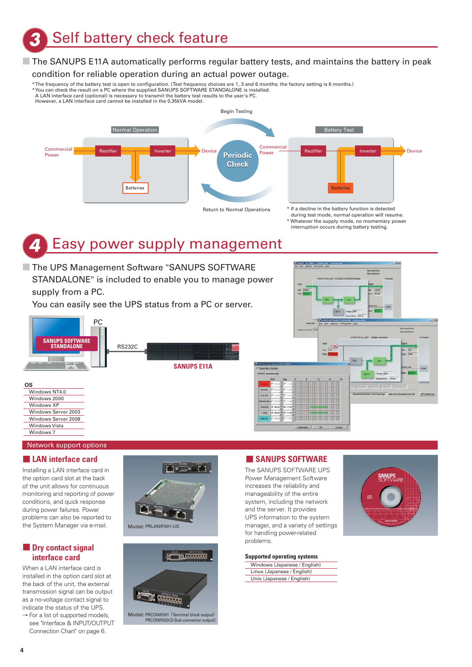*3* Self battery check feature

# ■ The SANUPS E11A automatically performs regular battery tests, and maintains the battery in peak

#### condition for reliable operation during an actual power outage.

\* The frequency of the battery test is open to configuration. (Test frequency choices are 1, 3 and 6 months; the factory setting is 6 months.) \* You can check the result on a PC where the supplied SANUPS SOFTWARE STANDALONE is installed. A LAN interface card (optional) is necessary to transmit the battery test results to the user's PC.

However, a LAN interface card cannot be installed in the 0.35kVA model.



Whatever the supply mode, no momentary power interruption occurs during battery testing.

# *4* Easy power supply management

■ The UPS Management Software "SANUPS SOFTWARE STANDALONE" is included to enable you to manage power supply from a PC.

You can easily see the UPS status from a PC or server.



Network support options

Windows Vista Windows 7

#### **■ LAN interface card**

Installing a LAN interface card in the option card slot at the back of the unit allows for continuous monitoring and reporting of power conditions, and quick response during power failures. Power problems can also be reported to the System Manager via e-mail.

### **■ Dry contact signal interface card**

When a LAN interface card is installed in the option card slot at the back of the unit, the external transmission signal can be output as a no-voltage contact signal to indicate the status of the UPS.

 $\rightarrow$  For a list of supported models, see "Interface & INPUT/OUTPUT Connection Chart" on page 6.





# **■ SANUPS SOFTWARE**

The SANUPS SOFTWARE UPS Power Management Software increases the reliability and manageability of the entire system, including the network and the server. It provides UPS information to the system manager, and a variety of settings for handling power-related problems.

#### **Supported operating systems** Windows (Japanese / English) Linux (Japanese / English)



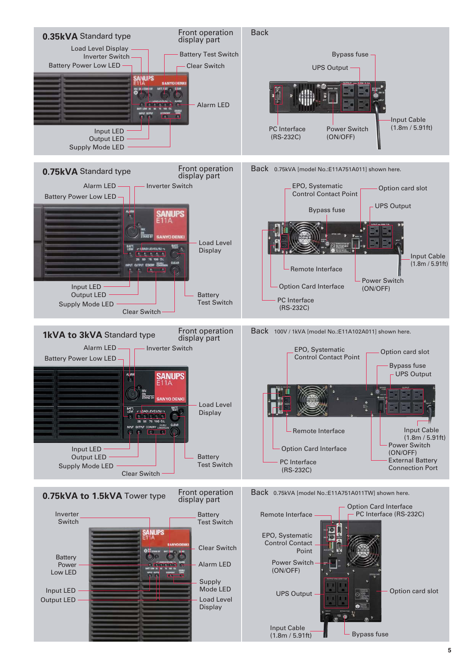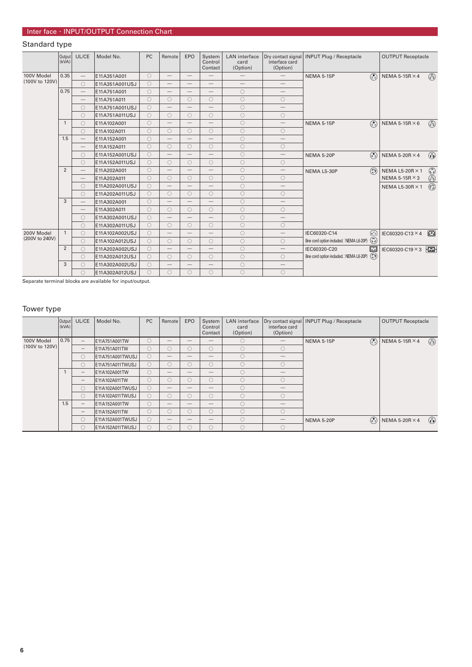# Standard type

|                | Output<br>(kVA) | UL/CE                           | Model No.      | <b>PC</b>  | Remote                          | EPO                      | System<br>Control<br>Contact  | <b>LAN</b> interface<br>card<br>(Option) | Dry contact signal<br>interface card<br>(Option) | <b>INPUT Plug / Receptacle</b>                       | <b>OUTPUT Receptacle</b>                                                           |  |
|----------------|-----------------|---------------------------------|----------------|------------|---------------------------------|--------------------------|-------------------------------|------------------------------------------|--------------------------------------------------|------------------------------------------------------|------------------------------------------------------------------------------------|--|
| 100V Model     | 0.35            | $\overline{\phantom{m}}$        | E11A351A001    | $\bigcirc$ | $\qquad \qquad -$               | $\overline{\phantom{0}}$ | $\qquad \qquad -$             |                                          | $\qquad \qquad -$                                | $\odot$<br><b>NEMA 5-15P</b>                         | $\circledcirc$<br>NEMA 5-15R $\times$ 4                                            |  |
| (100V to 120V) |                 | $\bigcirc$                      | E11A351A001USJ | $\bigcirc$ | $\qquad \qquad -$               | $\overline{\phantom{0}}$ | $\overline{\phantom{0}}$      | $\overline{\phantom{0}}$                 | $\overline{\phantom{0}}$                         |                                                      |                                                                                    |  |
|                | 0.75            | $\qquad \qquad -$               | E11A751A001    | $\bigcirc$ | $\overline{\phantom{m}}$        | $\overline{\phantom{0}}$ | $\qquad \qquad -$             | $\bigcirc$                               | $\qquad \qquad$                                  |                                                      |                                                                                    |  |
|                |                 | $\qquad \qquad -$               | E11A751A011    | $\bigcirc$ | $\circ$                         | $\circ$                  | $\circ$                       | $\circ$                                  | $\circ$                                          |                                                      |                                                                                    |  |
|                |                 | $\circ$                         | E11A751A001USJ | $\bigcirc$ |                                 | $\overline{\phantom{0}}$ | $\qquad \qquad -$             | $\circ$                                  | $\overline{\phantom{0}}$                         |                                                      |                                                                                    |  |
|                |                 | $\bigcirc$                      | E11A751A011USJ | $\bigcirc$ | $\circ$                         | $\circ$                  | $\circ$                       | $\bigcirc$                               | $\bigcirc$                                       |                                                      |                                                                                    |  |
|                | $\mathbf{1}$    | $\circ$                         | E11A102A001    | $\bigcirc$ |                                 | $\overline{\phantom{0}}$ | $\qquad \qquad -$             | $\circ$                                  | $\overline{\phantom{0}}$                         | $\odot$<br><b>NEMA 5-15P</b>                         | $\left(\begin{smallmatrix} 0\\ 1\end{smallmatrix}\right)$<br>NEMA 5-15R $\times$ 6 |  |
|                |                 | $\bigcirc$                      | E11A102A011    | $\bigcirc$ | $\circ$                         | $\circ$                  | $\circ$                       | $\circ$                                  | $\circ$                                          |                                                      |                                                                                    |  |
|                | 1.5             | $\qquad \qquad -$               | E11A152A001    | $\bigcirc$ | $\overbrace{\phantom{12332}}$   | $\overline{\phantom{0}}$ | $\overbrace{\phantom{12333}}$ | $\circ$                                  | $\overline{\phantom{0}}$                         |                                                      |                                                                                    |  |
|                |                 | $\hspace{0.1mm}-\hspace{0.1mm}$ | E11A152A011    | $\bigcirc$ | 0                               | 0                        | $\bigcirc$                    | $\circ$                                  | $\bigcirc$                                       |                                                      |                                                                                    |  |
|                |                 | $\bigcirc$                      | E11A152A001USJ | $\bigcirc$ | $\hspace{0.1mm}-\hspace{0.1mm}$ | $\overline{\phantom{0}}$ | $\qquad \qquad -$             | $\circ$                                  | $\qquad \qquad -$                                | $\odot$<br><b>NEMA 5-20P</b>                         | $\circledcirc$<br>NEMA 5-20R $\times$ 4                                            |  |
|                |                 | $\circ$                         | E11A152A011USJ | $\bigcirc$ | $\bigcirc$                      | $\circ$                  | $\bigcirc$                    | $\circ$                                  | $\bigcirc$                                       |                                                      |                                                                                    |  |
|                | $\overline{2}$  | $\qquad \qquad -$               | E11A202A001    | $\bigcirc$ | $\qquad \qquad -$               | $\overline{\phantom{0}}$ | $\qquad \qquad -$             | $\bigcirc$                               |                                                  | $\odot$<br>NEMA L5-30P                               | $\odot$<br><b>NEMA L5-20R × 1</b>                                                  |  |
|                |                 | $\hspace{0.1mm}-\hspace{0.1mm}$ | E11A202A011    | $\bigcirc$ | $\circ$                         | $\circ$                  | $\circ$                       | $\circ$                                  | $\circ$                                          |                                                      | NEMA 5-15R $\times$ 3                                                              |  |
|                |                 | $\bigcirc$                      | E11A202A001USJ | $\bigcirc$ | $\qquad \qquad$                 | $\overline{\phantom{0}}$ | $\overline{\phantom{0}}$      | $\bigcirc$                               | $\overline{\phantom{0}}$                         |                                                      | $\circled{c}$<br>NEMA L5-30R $\times$ 1                                            |  |
|                |                 | $\bigcirc$                      | E11A202A011USJ | $\bigcirc$ | $\bigcirc$                      | $\bigcirc$               | $\bigcirc$                    | $\bigcirc$                               | $\bigcirc$                                       |                                                      |                                                                                    |  |
|                | 3               | $\overline{\phantom{0}}$        | E11A302A001    | $\bigcirc$ |                                 | $\overline{\phantom{0}}$ | $\qquad \qquad -$             | $\circ$                                  | $\overline{\phantom{0}}$                         |                                                      |                                                                                    |  |
|                |                 | $\overline{\phantom{m}}$        | E11A302A011    | $\bigcirc$ | $\bigcirc$                      | $\circ$                  | $\bigcirc$                    | $\bigcirc$                               | $\bigcirc$                                       |                                                      |                                                                                    |  |
|                |                 | 0                               | E11A302A001USJ | $\bigcirc$ |                                 | $\overline{\phantom{0}}$ | $\overline{\phantom{0}}$      | $\circ$                                  |                                                  |                                                      |                                                                                    |  |
|                |                 | $\bigcirc$                      | E11A302A011USJ | $\bigcirc$ | $\circ$                         | $\circ$                  | О                             | $\circ$                                  | $\circ$                                          |                                                      |                                                                                    |  |
| 200V Model     | $\mathbf{1}$    | $\bigcirc$                      | E11A102A002USJ | $\bigcirc$ |                                 | $\overline{\phantom{0}}$ | $\overline{\phantom{0}}$      | $\circ$                                  | $\overline{\phantom{0}}$                         | IEC60320-C14<br>∩                                    | $\Box$<br>IEC60320-C13 × 4                                                         |  |
| (200V to 240V) |                 | $\bigcirc$                      | E11A102A012USJ | $\bigcirc$ | $\bigcirc$                      | $\circ$                  | $\bigcirc$                    | $\bigcirc$                               | $\bigcirc$                                       | $\odot$<br>(line cord option included.: NEMA L6-20P) |                                                                                    |  |
|                | $\overline{2}$  | 0                               | E11A202A002USJ | $\bigcirc$ | $\qquad \qquad -$               | $\overline{\phantom{0}}$ | $\overline{\phantom{0}}$      | $\bigcirc$                               | $\overline{\phantom{0}}$                         | IEC60320-C20<br>$\Box$                               | $\circ$ $\Box$<br>IEC60320-C19×3                                                   |  |
|                |                 | $\circ$                         | E11A202A012USJ | 0          | $\circ$                         | $\circ$                  | $\circ$                       | $\circ$                                  | O                                                | $\odot$<br>(line cord option included.: NEMA L6-20P) |                                                                                    |  |
|                | 3               | О                               | E11A302A002USJ | $\bigcirc$ | $\qquad \qquad -$               | $\overline{\phantom{0}}$ | $\qquad \qquad -$             | $\circ$                                  | $\overline{\phantom{0}}$                         |                                                      |                                                                                    |  |
|                |                 | $\bigcirc$                      | E11A302A012USJ | $\bigcirc$ | $\bigcirc$                      | $\bigcirc$               | $\bigcirc$                    | $\bigcirc$                               | $\bigcirc$                                       |                                                      |                                                                                    |  |

Separate terminal blocks are available for input/output.

# Tower type

|                | Output<br>(kVA) | UL/CE                    | Model No.        | <b>PC</b> | Remote                          | <b>EPO</b>        | System<br>Control<br>Contact              | <b>LAN</b> interface<br>card<br>(Option) | interface card<br>(Option) | Dry contact signal   INPUT Plug / Receptacle | <b>OUTPUT Receptacle</b> |                |
|----------------|-----------------|--------------------------|------------------|-----------|---------------------------------|-------------------|-------------------------------------------|------------------------------------------|----------------------------|----------------------------------------------|--------------------------|----------------|
| 100V Model     | 0.75            | $-$                      | E11A751A001TW    | C         | $\hspace{0.05cm}$               |                   |                                           | $\bigcirc$                               |                            | $\bigcirc$<br>NEMA 5-15P                     | NEMA 5-15R $\times$ 4    | $\circledcirc$ |
| (100V to 120V) |                 | $\overline{\phantom{0}}$ | E11A751A011TW    | O         | $\bigcirc$                      | $\bigcirc$        | O                                         | $\bigcirc$                               | $\bigcirc$                 |                                              |                          |                |
|                |                 | O                        | E11A751A001TWUSJ | O         | $\qquad \qquad -$               |                   |                                           | $\bigcirc$                               |                            |                                              |                          |                |
|                |                 | 0                        | E11A751A011TWUSJ | C         | $\bigcirc$                      | $\bigcirc$        | O                                         | $\bigcirc$                               | $\bigcirc$                 |                                              |                          |                |
|                |                 | $-$                      | E11A102A001TW    | C         | $\qquad \qquad -$               |                   |                                           | $\bigcirc$                               |                            |                                              |                          |                |
|                |                 | $\overline{\phantom{0}}$ | E11A102A011TW    | O         | $\bigcirc$                      | $\bigcirc$        | O                                         | $\bigcirc$                               | $\bigcirc$                 |                                              |                          |                |
|                |                 | O                        | E11A102A001TWUSJ | C.        | $\hspace{0.1mm}-\hspace{0.1mm}$ | $\hspace{0.05cm}$ |                                           | $\bigcirc$                               |                            |                                              |                          |                |
|                |                 | $\bigcirc$               | E11A102A011TWUSJ | O         | $\bigcirc$                      | $\bigcirc$        | $\bigcirc$                                | $\bigcirc$                               |                            |                                              |                          |                |
|                | 1.5             | —                        | E11A152A001TW    | C         | $\hspace{0.1mm}-\hspace{0.1mm}$ | $\hspace{0.05cm}$ | $\qquad \qquad \overline{\qquad \qquad }$ | $\bigcirc$                               |                            |                                              |                          |                |
|                |                 | $\overline{\phantom{0}}$ | E11A152A011TW    | O         | $\bigcirc$                      | $\bigcirc$        | $\bigcirc$                                | $\bigcirc$                               |                            |                                              |                          |                |
|                |                 | O                        | E11A152A001TWUSJ | O         | $\qquad \qquad -$               |                   |                                           | $\bigcirc$                               |                            | $\odot$<br>NEMA 5-20P                        | NEMA 5-20R $\times$ 4    | $\mathbb{G}$   |
|                |                 | ∩                        | E11A152A011TWUSJ | ∩         | O                               | $\bigcirc$        | O                                         | $\bigcirc$                               |                            |                                              |                          |                |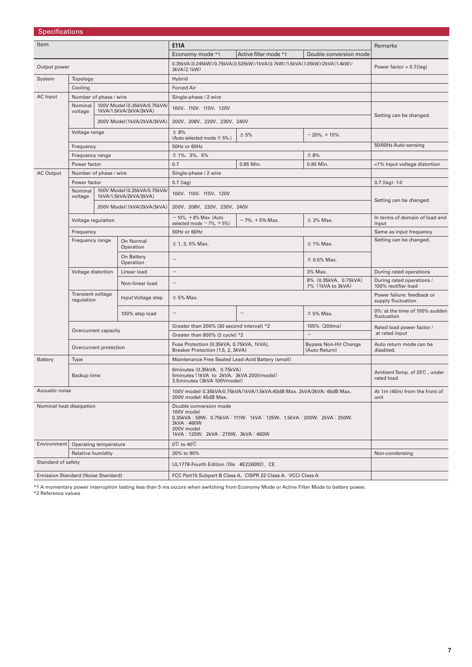| <b>Specifications</b>              |                                 |                                                              |                                                        |                                                                                                                                                                              |                                                                        |                                               |                                               |  |
|------------------------------------|---------------------------------|--------------------------------------------------------------|--------------------------------------------------------|------------------------------------------------------------------------------------------------------------------------------------------------------------------------------|------------------------------------------------------------------------|-----------------------------------------------|-----------------------------------------------|--|
| Item                               |                                 |                                                              |                                                        | <b>E11A</b>                                                                                                                                                                  |                                                                        |                                               | <b>Remarks</b>                                |  |
|                                    |                                 |                                                              |                                                        | Economy mode *1                                                                                                                                                              | Active filter mode *1                                                  | Double conversion mode                        |                                               |  |
| Output power                       |                                 |                                                              |                                                        | 0.35kVA(0.245kW)/0.75kVA(0.525kW)/1kVA(0.7kW)/1.5kVA(1.05kW)/2kVA(1.4kW)/<br>3kVA(2.1kW)                                                                                     |                                                                        | Power factor = $0.7$ (lag)                    |                                               |  |
| System                             | Topology                        |                                                              |                                                        | Hybrid                                                                                                                                                                       |                                                                        |                                               |                                               |  |
|                                    | Cooling                         |                                                              |                                                        | Forced Air                                                                                                                                                                   |                                                                        |                                               |                                               |  |
| AC Input                           | Number of phase / wire          |                                                              |                                                        | Single-phase / 2 wire                                                                                                                                                        |                                                                        |                                               |                                               |  |
|                                    | Nominal<br>voltage              |                                                              | 100V Model (0.35kVA/0.75kVA/<br>1kVA/1.5kVA/2kVA/3kVA) | 100V, 110V, 115V, 120V                                                                                                                                                       |                                                                        |                                               | Setting can be changed.                       |  |
|                                    |                                 |                                                              | 200V Model(1kVA/2kVA/3kVA)                             | 200V, 208V, 220V, 230V, 240V                                                                                                                                                 |                                                                        |                                               |                                               |  |
|                                    | Voltage range                   |                                                              |                                                        | ± 8%<br>(Auto selected mode $\pm$ 5%.)                                                                                                                                       | ± 5%                                                                   | $-20\% + 15\%$                                |                                               |  |
|                                    | Frequency                       |                                                              |                                                        | 50Hz or 60Hz                                                                                                                                                                 |                                                                        |                                               | 50/60Hz Auto-sensing                          |  |
|                                    | Frequency range                 |                                                              |                                                        | $± 1\%$ , 3%, 5%                                                                                                                                                             |                                                                        | ± 8%                                          |                                               |  |
|                                    | Power factor                    |                                                              |                                                        | 0.7                                                                                                                                                                          | 0.85 Min.                                                              | 0.95 Min.                                     | <1% Input voltage distortion                  |  |
| <b>AC Output</b>                   | Number of phase / wire          |                                                              |                                                        | Single-phase / 2 wire                                                                                                                                                        |                                                                        |                                               |                                               |  |
|                                    | Power factor                    |                                                              |                                                        | $0.7$ (lag)                                                                                                                                                                  |                                                                        |                                               | $0.7$ (lag)- $1.0$                            |  |
|                                    | Nominal<br>voltage              |                                                              | 100V Model (0.35kVA/0.75kVA/<br>1kVA/1.5kVA/2kVA/3kVA) | 100V, 110V, 115V, 120V                                                                                                                                                       |                                                                        | Setting can be changed.                       |                                               |  |
|                                    |                                 | 200V Model(1kVA/2kVA/3kVA)                                   |                                                        | 200V, 208V, 220V, 230V, 240V                                                                                                                                                 |                                                                        |                                               |                                               |  |
|                                    | Voltage regulation              |                                                              |                                                        | $-10\%$ , $+8\%$ Max. (Auto<br>selected mode $-7\%$ , $+5\%$ )                                                                                                               | $-7\%$ , $+5\%$ Max.                                                   | $±$ 2% Max.                                   | In terms of domain of load and<br>input       |  |
|                                    | Frequency                       |                                                              |                                                        | 50Hz or 60Hz                                                                                                                                                                 |                                                                        |                                               | Same as input frequency                       |  |
|                                    | Frequency range                 |                                                              | On Normal<br>Operation                                 | $± 1, 3, 5%$ Max.<br>$±$ 1% Max.                                                                                                                                             |                                                                        |                                               | Setting can be changed.                       |  |
|                                    |                                 |                                                              | On Battery<br>Operation                                | $\overline{\phantom{0}}$<br>$\pm$ 0.5% Max.                                                                                                                                  |                                                                        |                                               |                                               |  |
|                                    | Voltage distortion              |                                                              | Linear load                                            | $\qquad \qquad -$                                                                                                                                                            | 3% Max.                                                                |                                               |                                               |  |
|                                    |                                 |                                                              | Non-linear load                                        |                                                                                                                                                                              | During rated operations /<br>100% rectifier load                       |                                               |                                               |  |
|                                    | Transient voltage<br>regulation |                                                              | Input Voltage step                                     | $± 5%$ Max.                                                                                                                                                                  | Power failure: feedback or<br>supply fluctuation                       |                                               |                                               |  |
|                                    |                                 |                                                              | 100% step load                                         | $\overline{\phantom{0}}$                                                                                                                                                     | $\overline{\phantom{0}}$                                               | $± 5%$ Max.                                   | 0%: at the time of 100% sudden<br>fluctuation |  |
|                                    | Overcurrent capacity            |                                                              |                                                        | Greater than 200% (30 second interval) *2                                                                                                                                    |                                                                        | 105% (200ms)                                  | Rated load power factor /                     |  |
|                                    |                                 |                                                              |                                                        | Greater than 800% (2 cycle) *2                                                                                                                                               |                                                                        | $\overline{\phantom{0}}$                      | at rated input                                |  |
|                                    | Overcurrent protection          |                                                              |                                                        | Fuse Protection (0.35kVA, 0.75kVA, 1kVA),<br>Breaker Protection (1.5, 2, 3kVA)                                                                                               |                                                                        | <b>Bypass Non-Hit Change</b><br>(Auto Return) | Auto return mode can be<br>disabled.          |  |
| Battery                            | Type                            |                                                              |                                                        | Maintenance Free Sealed Lead-Acid Battery (small)                                                                                                                            |                                                                        |                                               |                                               |  |
|                                    | Backup time                     |                                                              |                                                        | 6minutes (0.35kVA, 0.75kVA)<br>5minutes (1kVA to 2kVA, 3kVA 200Vmodel)<br>3.5minutes (3kVA 100Vmodel)                                                                        |                                                                        | Ambient Temp. of 25°C, under<br>rated load    |                                               |  |
| Acoustic noise                     |                                 |                                                              |                                                        | 200V model/ 45dB Max.                                                                                                                                                        | 100V model/ 0.35kVA/0.75kVA/1kVA/1.5kVA:40dB Max. 2kVA/3kVA: 45dB Max. |                                               | At 1m (40in) from the front of<br>unit        |  |
| Nominal heat dissipation           |                                 |                                                              |                                                        | Double conversion mode<br>100V model<br>0.35kVA: 59W, 0.75kVA: 111W, 1kVA: 125W, 1.5kVA: 200W, 2kVA: 250W,<br>3kVA: 460W<br>200V model<br>1kVA: 125W, 2kVA: 270W, 3kVA: 460W |                                                                        |                                               |                                               |  |
| Environment                        | Operating temperature           |                                                              |                                                        | $0^{\circ}$ C to 40 $^{\circ}$ C                                                                                                                                             |                                                                        |                                               |                                               |  |
|                                    | Relative humidity               |                                                              |                                                        | 20% to 90%                                                                                                                                                                   |                                                                        |                                               | Non-condensing                                |  |
| Standard of safety                 |                                 |                                                              |                                                        | UL1778-Fourth Edition (file #E226092), CE                                                                                                                                    |                                                                        |                                               |                                               |  |
| Emission Standard (Noise Standard) |                                 | FCC Part15 Subpart B Class A, CISPR 22 Class A, VCCI Class A |                                                        |                                                                                                                                                                              |                                                                        |                                               |                                               |  |

\*1 A momentary power interruption lasting less than 5 ms occurs when switching from Economy Mode or Active Filter Mode to battery power. \*2 Reference values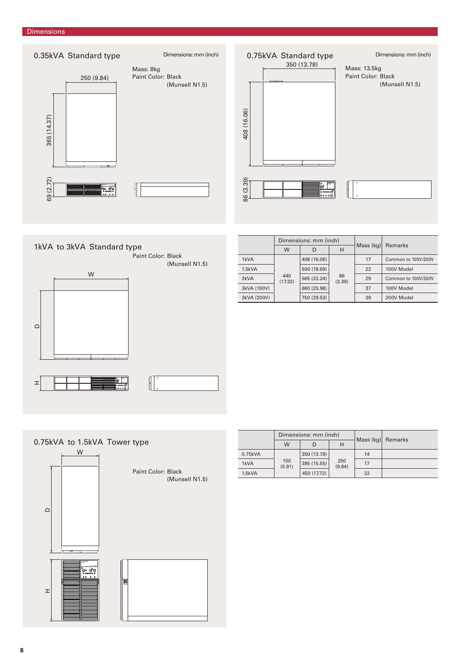#### Dimensions





|     |             |    |                                 | <b>Remarks</b>      |  |
|-----|-------------|----|---------------------------------|---------------------|--|
| W   | D           | н  |                                 |                     |  |
|     | 408 (16.06) |    | 17                              | Common to 100V/200V |  |
|     | 500 (19.69) | 86 | 22                              | 100V Model          |  |
| 440 | 565 (22.24) |    | 29                              | Common to 100V/200V |  |
|     | 660 (25.98) |    | 37                              | 100V Model          |  |
|     | 750 (29.53) |    | 39                              | 200V Model          |  |
|     | (17.32)     |    | Dimensions: mm (inch)<br>(3.39) | Mass $(kq)$         |  |

0.75kVA to 1.5kVA Tower type W Paint Color: Black (Munsell N1.5)  $\mathop\square$  $\overline{a}$ <br> $\overline{b}$ SANUPS SANYO DENKI  $\pm$ 

|         |               | Dimensions: mm (inch) |               | Mass (kg) Remarks |  |  |
|---------|---------------|-----------------------|---------------|-------------------|--|--|
|         | W             |                       | н             |                   |  |  |
| 0.75kVA | 150<br>(5.91) | 350 (13.78)           |               | 14                |  |  |
| 1kVA    |               | 395 (15.55)           | 250<br>(9.84) | 17                |  |  |
| 1.5kVA  |               | 450 (17.72)           |               | 22                |  |  |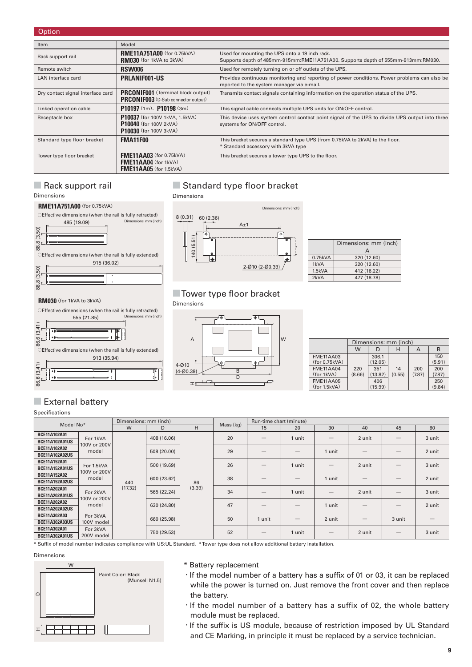| Option                            |                                                                                                  |                                                                                                                                            |
|-----------------------------------|--------------------------------------------------------------------------------------------------|--------------------------------------------------------------------------------------------------------------------------------------------|
| Item                              | Model                                                                                            |                                                                                                                                            |
| Rack support rail                 | <b>RME11A751A00</b> (for 0.75kVA)<br><b>RM030</b> (for 1kVA to 3kVA)                             | Used for mounting the UPS onto a 19 inch rack.<br>Supports depth of 485mm-915mm:RME11A751A00. Supports depth of 555mm-913mm:RM030.         |
| Remote switch                     | <b>RSW006</b>                                                                                    | Used for remotely turning on or off outlets of the UPS.                                                                                    |
| LAN interface card                | <b>PRLANIF001-US</b>                                                                             | Provides continuous monitoring and reporting of power conditions. Power problems can also be<br>reported to the system manager via e-mail. |
| Dry contact signal interface card | <b>PRCONIF001</b> (Terminal block output)<br><b>PRCONIF003</b> (D-Sub connector output)          | Transmits contact signals containing information on the operation status of the UPS.                                                       |
| Linked operation cable            | $P10197(1m)$ , $P10198(3m)$                                                                      | This signal cable connects multiple UPS units for ON/OFF control.                                                                          |
| Receptacle box                    | P10037 (for 100V 1kVA, 1.5kVA)<br><b>P10040</b> (for 100V 2kVA)<br><b>P10030</b> (for 100V 3kVA) | This device uses system control contact point signal of the UPS to divide UPS output into three<br>systems for ON/OFF control.             |
| Standard type floor bracket       | <b>FMA11F00</b>                                                                                  | This bracket secures a standard type UPS (from 0.75kVA to 2kVA) to the floor.<br>* Standard accessory with 3kVA type                       |
| Tower type floor bracket          | <b>FME11AA03</b> (for 0.75kVA)<br><b>FME11AA04</b> (for 1kVA)<br><b>FME11AA05</b> (for 1.5kVA)   | This bracket secures a tower type UPS to the floor.                                                                                        |

485 (19.09)

**RME11A751A00**(for 0.75kVA)

Dimensions

#### ■ Rack support rail **■** Standard type floor bracket Dimensions



|         | Dimensions: mm (inch) |
|---------|-----------------------|
|         | А                     |
| 0.75kVA | 320 (12.60)           |
| 1kVA    | 320 (12.60)           |
| 1.5kVA  | 412 (16.22)           |
| 2kVA    | 477 (18.78)           |

### ■ Tower type floor bracket

Dimensions



915 (36.02)



|                                   | Dimensions: mm (inch) |                  |              |               |               |  |  |  |
|-----------------------------------|-----------------------|------------------|--------------|---------------|---------------|--|--|--|
|                                   | W                     | D                | н            | A             | В             |  |  |  |
| <b>FME11AA03</b><br>(for 0.75kVA) |                       | 306.1<br>(12.05) |              |               | 150<br>(5.91) |  |  |  |
| <b>FME11AA04</b><br>(for 1kVA)    | 220<br>(8.66)         | 351<br>(13.82)   | 14<br>(0.55) | 200<br>(7.87) | 200<br>(7.87) |  |  |  |
| <b>FME11AA05</b><br>(for 1.5kVA)  |                       | 406<br>(15.99)   |              |               | 250<br>(9.84) |  |  |  |

# ■ External battery

**RM030**(for 1kVA to 3kVA)

Specifications

86.6 (3.41)

86.6 (3.41

88.8 (3.50)

88.8 (3.50)

88.8 (3.50)

38.8 (3.50)

86.6 (3.41)

 $3.41$ 

| Model No*             |                                                  | Dimensions: mm (inch) |             |        | Mass (kg) | Run-time chart (minute)                                                                                                                                                                                                                                                                                                                                                                       |                   |                                 |                   |                                 |        |  |
|-----------------------|--------------------------------------------------|-----------------------|-------------|--------|-----------|-----------------------------------------------------------------------------------------------------------------------------------------------------------------------------------------------------------------------------------------------------------------------------------------------------------------------------------------------------------------------------------------------|-------------------|---------------------------------|-------------------|---------------------------------|--------|--|
|                       |                                                  | W                     | D           | H      |           | 15                                                                                                                                                                                                                                                                                                                                                                                            | 20                | 30                              | 40                | 45                              | 60     |  |
| BCE11A102A01          | For 1kVA                                         |                       | 408 (16.06) |        | 20        |                                                                                                                                                                                                                                                                                                                                                                                               | 1 unit            |                                 | 2 unit            |                                 | 3 unit |  |
| <b>BCE11A102A01US</b> | 100V or 200V                                     |                       |             |        |           |                                                                                                                                                                                                                                                                                                                                                                                               |                   |                                 |                   |                                 |        |  |
| BCE11A102A02          | model                                            |                       | 508 (20.00) |        | 29        |                                                                                                                                                                                                                                                                                                                                                                                               |                   | 1 unit                          |                   |                                 | 2 unit |  |
| <b>BCE11A102A02US</b> |                                                  |                       |             |        |           |                                                                                                                                                                                                                                                                                                                                                                                               |                   |                                 |                   |                                 |        |  |
| <b>BCE11A152A01</b>   | For 1.5kVA                                       |                       | 500 (19.69) |        | 26        |                                                                                                                                                                                                                                                                                                                                                                                               | 1 unit            |                                 | 2 unit            |                                 | 3 unit |  |
| <b>BCE11A152A01US</b> | 100V or 200V                                     |                       |             | 86     |           |                                                                                                                                                                                                                                                                                                                                                                                               |                   |                                 |                   |                                 |        |  |
| <b>BCE11A152A02</b>   | model                                            |                       | 600 (23.62) |        | 38        |                                                                                                                                                                                                                                                                                                                                                                                               | $\qquad \qquad -$ | 1 unit                          | $\qquad \qquad -$ |                                 | 2 unit |  |
| <b>BCE11A152A02US</b> |                                                  | 440                   |             |        |           |                                                                                                                                                                                                                                                                                                                                                                                               |                   |                                 |                   |                                 |        |  |
| BCE11A202A01          | For 2kVA                                         | (17.32)               | 565 (22.24) | (3.39) | 34        |                                                                                                                                                                                                                                                                                                                                                                                               | 1 unit            | $\qquad \qquad -$               | 2 unit            |                                 | 3 unit |  |
| <b>BCE11A202A01US</b> | 100V or 200V                                     |                       |             |        |           |                                                                                                                                                                                                                                                                                                                                                                                               |                   |                                 |                   |                                 |        |  |
| BCE11A202A02          | model                                            |                       | 630 (24.80) |        | 47        |                                                                                                                                                                                                                                                                                                                                                                                               | $\qquad \qquad -$ | 1 unit                          |                   |                                 | 2 unit |  |
| <b>BCE11A202A02US</b> | For 3kVA<br>100V model<br>For 3kVA<br>200V model |                       |             |        |           |                                                                                                                                                                                                                                                                                                                                                                                               |                   |                                 |                   |                                 |        |  |
| BCE11A302A03          |                                                  |                       |             |        | 50        | 1 unit                                                                                                                                                                                                                                                                                                                                                                                        |                   | 2 unit                          |                   | 3 unit                          |        |  |
| <b>BCE11A302A03US</b> |                                                  |                       | 660 (25.98) |        |           |                                                                                                                                                                                                                                                                                                                                                                                               |                   |                                 |                   |                                 |        |  |
| BCE11A302A01          |                                                  |                       | 750 (29.53) |        | 52        | $\hspace{1.0cm} \overline{\hspace{1.0cm} \hspace{1.0cm} \hspace{1.0cm} } \hspace{1.0cm} \hspace{1.0cm} \overline{\hspace{1.0cm} \hspace{1.0cm} \hspace{1.0cm} } \hspace{1.0cm} \hspace{1.0cm} \overline{\hspace{1.0cm} \hspace{1.0cm} \hspace{1.0cm} } \hspace{1.0cm} \hspace{1.0cm} \overline{\hspace{1.0cm} \hspace{1.0cm} \hspace{1.0cm} } \hspace{1.0cm} \hspace{1.0cm} \hspace{1.0cm} }$ | 1 unit            | $\hspace{0.1mm}-\hspace{0.1mm}$ | 2 unit            | $\hspace{0.1mm}-\hspace{0.1mm}$ | 3 unit |  |
| <b>BCE11A302A01US</b> |                                                  |                       |             |        |           |                                                                                                                                                                                                                                                                                                                                                                                               |                   |                                 |                   |                                 |        |  |

\* Suffi x of model number indicates compliance with US:UL Standard. \* Tower type does not allow additional battery installation.

#### Dimensions



#### \* Battery replacement

- · If the model number of a battery has a suffix of 01 or 03, it can be replaced while the power is turned on. Just remove the front cover and then replace the battery.
- ・If the model number of a battery has a suffix of 02, the whole battery module must be replaced.
- · If the suffix is US module, because of restriction imposed by UL Standard and CE Marking, in principle it must be replaced by a service technician.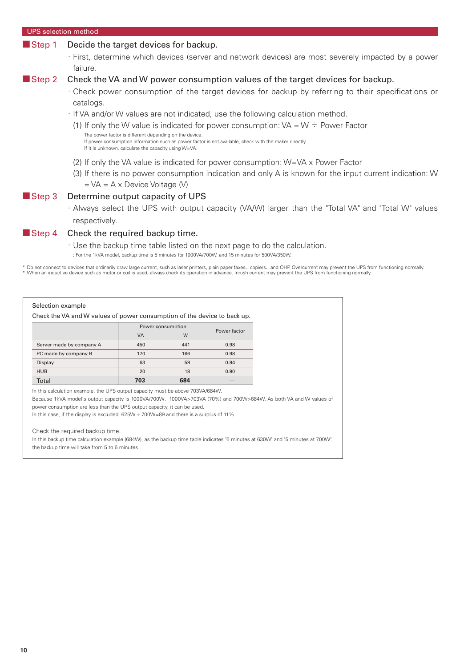| <b>UPS</b> selection method |                                                                                                                                                                                                                          |
|-----------------------------|--------------------------------------------------------------------------------------------------------------------------------------------------------------------------------------------------------------------------|
| Step 1                      | Decide the target devices for backup.                                                                                                                                                                                    |
|                             | · First, determine which devices (server and network devices) are most severely impacted by a power<br>failure.                                                                                                          |
| Step 2                      | Check the VA and W power consumption values of the target devices for backup.                                                                                                                                            |
|                             | Check power consumption of the target devices for backup by referring to their specifications or<br>catalogs.                                                                                                            |
|                             | · If VA and/or W values are not indicated, use the following calculation method.                                                                                                                                         |
|                             | (1) If only the W value is indicated for power consumption: $VA = W \div Power Factor$                                                                                                                                   |
|                             | The power factor is different depending on the device.<br>If power consumption information such as power factor is not available, check with the maker directly.<br>If it is unknown, calculate the capacity using W=VA. |
|                             | (2) If only the VA value is indicated for power consumption: $W = VA \times Power Factor$                                                                                                                                |
|                             | (3) If there is no power consumption indication and only A is known for the input current indication: W<br>$= VA = A \times Device Voltage (V)$                                                                          |
| $\blacksquare$ Step 3       | Determine output capacity of UPS                                                                                                                                                                                         |
|                             | · Always select the UPS with output capacity (VA/W) larger than the "Total VA" and "Total W" values                                                                                                                      |
|                             | respectively.                                                                                                                                                                                                            |
|                             | $\mathsf{R}$ Check the required backup time                                                                                                                                                                              |

#### Step 4 Check the required backup time.

・ Use the backup time table listed on the next page to do the calculation.

: For the 1kVA model, backup time is 5 minutes for 1000VA/700W, and 15 minutes for 500VA/350W.

\* Do not connect to devices that ordinarily draw large current, such as laser printers, plain paper faxes,copiers,and OHP. Overcurrent may prevent the UPS from functioning normally.<br>\* When an inductive device such as motor

#### Selection example

Check the VA and W values of power consumption of the device to back up.

|                          | Power consumption | Power factor |      |
|--------------------------|-------------------|--------------|------|
|                          | VA                | W            |      |
| Server made by company A | 450               | 441          | 0.98 |
| PC made by company B     | 170               | 166          | 0.98 |
| Display                  | 63                | 59           | 0.94 |
| <b>HUB</b>               | 20                | 18           | 0.90 |
| Total                    | 703               | 684          |      |

In this calculation example, the UPS output capacity must be above 703VA/684W.

Because 1kVA model's output capacity is 1000VA/700W, 1000VA>703VA (70%) and 700W>684W. As both VA and W values of power consumption are less than the UPS output capacity, it can be used.

In this case, if the display is excluded,  $625W - 700W = 89$  and there is a surplus of 11%.

Check the required backup time.

In this backup time calculation example (684W), as the backup time table indicates "6 minutes at 630W" and "5 minutes at 700W", the backup time will take from 5 to 6 minutes.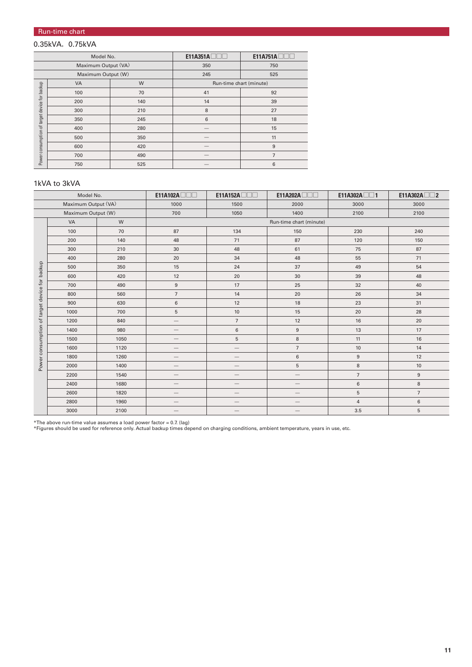#### Run-time chart

### 0.35kVA, 0.75kVA

| Model No.                                     |     |     | E11A351A                | E11A751A       |  |
|-----------------------------------------------|-----|-----|-------------------------|----------------|--|
| Maximum Output (VA)                           |     |     | 350                     | 750            |  |
| Maximum Output (W)                            |     |     | 245                     | 525            |  |
| Power consumption of target device for backup | VA  | W   | Run-time chart (minute) |                |  |
|                                               | 100 | 70  | 41                      | 92             |  |
|                                               | 200 | 140 | 14                      | 39             |  |
|                                               | 300 | 210 | 8                       | 27             |  |
|                                               | 350 | 245 | 6                       | 18             |  |
|                                               | 400 | 280 |                         | 15             |  |
|                                               | 500 | 350 |                         | 11             |  |
|                                               | 600 | 420 |                         | 9              |  |
|                                               | 700 | 490 |                         | $\overline{7}$ |  |
|                                               | 750 | 525 |                         | 6              |  |

#### 1kVA to 3kVA

| Model No.                                     |                    | E11A102A | E11A152A                 | E11A202A          | $E11A302A \Box \Box 1$ | E11A302A $\square$ 2 |                  |  |
|-----------------------------------------------|--------------------|----------|--------------------------|-------------------|------------------------|----------------------|------------------|--|
| Maximum Output (VA)                           |                    | 1000     | 1500                     | 2000              | 3000                   | 3000                 |                  |  |
|                                               | Maximum Output (W) |          | 700                      | 1050              | 1400                   | 2100                 | 2100             |  |
| Power consumption of target device for backup | VA                 | W        | Run-time chart (minute)  |                   |                        |                      |                  |  |
|                                               | 100                | 70       | 87                       | 134               | 150                    | 230                  | 240              |  |
|                                               | 200                | 140      | 48                       | 71                | 87                     | 120                  | 150              |  |
|                                               | 300                | 210      | 30                       | 48                | 61                     | 75                   | 87               |  |
|                                               | 400                | 280      | 20                       | 34                | 48                     | 55                   | 71               |  |
|                                               | 500                | 350      | 15                       | 24                | 37                     | 49                   | 54               |  |
|                                               | 600                | 420      | 12                       | 20                | 30                     | 39                   | 48               |  |
|                                               | 700                | 490      | $9\,$                    | 17                | 25                     | 32                   | 40               |  |
|                                               | 800                | 560      | $\overline{7}$           | 14                | 20                     | 26                   | 34               |  |
|                                               | 900                | 630      | 6                        | 12                | 18                     | 23                   | 31               |  |
|                                               | 1000               | 700      | 5                        | $10$              | 15                     | 20                   | 28               |  |
|                                               | 1200               | 840      | $\qquad \qquad -$        | $\overline{7}$    | 12                     | 16                   | 20               |  |
|                                               | 1400               | 980      | $\overline{\phantom{m}}$ | $\,6\,$           | 9                      | 13                   | 17               |  |
|                                               | 1500               | 1050     | $\qquad \qquad -$        | $5\overline{)}$   | 8                      | 11                   | 16               |  |
|                                               | 1600               | 1120     | $\qquad \qquad -$        | $\qquad \qquad -$ | $\overline{7}$         | $10$                 | 14               |  |
|                                               | 1800               | 1260     |                          |                   | 6                      | $\boldsymbol{9}$     | 12               |  |
|                                               | 2000               | 1400     | $\qquad \qquad -$        |                   | 5                      | $\,8\,$              | 10               |  |
|                                               | 2200               | 1540     |                          |                   |                        | $\overline{7}$       | $\boldsymbol{9}$ |  |
|                                               | 2400               | 1680     |                          |                   |                        | $\,6\,$              | 8                |  |
|                                               | 2600               | 1820     |                          |                   |                        | 5                    | $\overline{7}$   |  |
|                                               | 2800               | 1960     | $\qquad \qquad$          | —                 | —                      | $\overline{4}$       | $\,6\,$          |  |
|                                               | 3000               | 2100     |                          |                   |                        | 3.5                  | 5                |  |

\*The above run-time value assumes a load power factor = 0.7. (lag) \*Figures should be used for reference only. Actual backup times depend on charging conditions, ambient temperature, years in use, etc.